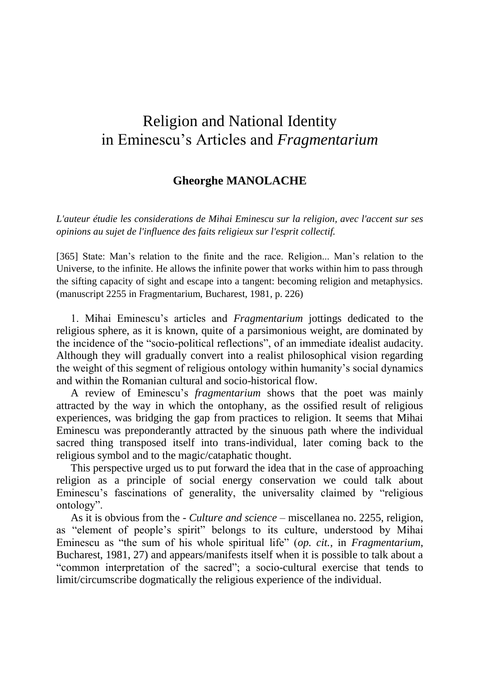## Religion and National Identity in Eminescu"s Articles and *Fragmentarium*

## **Gheorghe MANOLACHE**

*L'auteur étudie les considerations de Mihai Eminescu sur la religion, avec l'accent sur ses opinions au sujet de l'influence des faits religieux sur l'esprit collectif.*

[365] State: Man's relation to the finite and the race. Religion... Man's relation to the Universe, to the infinite. He allows the infinite power that works within him to pass through the sifting capacity of sight and escape into a tangent: becoming religion and metaphysics. (manuscript 2255 in Fragmentarium, Bucharest, 1981, p. 226)

1. Mihai Eminescu"s articles and *Fragmentarium* jottings dedicated to the religious sphere, as it is known, quite of a parsimonious weight, are dominated by the incidence of the "socio-political reflections", of an immediate idealist audacity. Although they will gradually convert into a realist philosophical vision regarding the weight of this segment of religious ontology within humanity"s social dynamics and within the Romanian cultural and socio-historical flow.

A review of Eminescu"s *fragmentarium* shows that the poet was mainly attracted by the way in which the ontophany, as the ossified result of religious experiences, was bridging the gap from practices to religion. It seems that Mihai Eminescu was preponderantly attracted by the sinuous path where the individual sacred thing transposed itself into trans-individual, later coming back to the religious symbol and to the magic/cataphatic thought.

This perspective urged us to put forward the idea that in the case of approaching religion as a principle of social energy conservation we could talk about Eminescu"s fascinations of generality, the universality claimed by "religious ontology".

As it is obvious from the - *Culture and science* – miscellanea no. 2255, religion, as "element of people"s spirit" belongs to its culture, understood by Mihai Eminescu as "the sum of his whole spiritual life" (*op. cit.,* in *Fragmentarium*, Bucharest, 1981, 27) and appears/manifests itself when it is possible to talk about a "common interpretation of the sacred"; a socio-cultural exercise that tends to limit/circumscribe dogmatically the religious experience of the individual.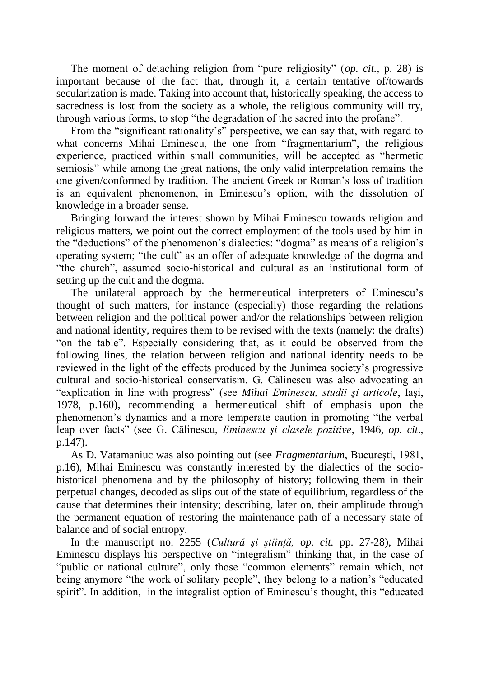The moment of detaching religion from "pure religiosity" (*op. cit.*, p. 28) is important because of the fact that, through it, a certain tentative of/towards secularization is made. Taking into account that, historically speaking, the access to sacredness is lost from the society as a whole, the religious community will try, through various forms, to stop "the degradation of the sacred into the profane".

From the "significant rationality's" perspective, we can say that, with regard to what concerns Mihai Eminescu, the one from "fragmentarium", the religious experience, practiced within small communities, will be accepted as "hermetic semiosis" while among the great nations, the only valid interpretation remains the one given/conformed by tradition. The ancient Greek or Roman"s loss of tradition is an equivalent phenomenon, in Eminescu's option, with the dissolution of knowledge in a broader sense.

Bringing forward the interest shown by Mihai Eminescu towards religion and religious matters, we point out the correct employment of the tools used by him in the "deductions" of the phenomenon"s dialectics: "dogma" as means of a religion"s operating system; "the cult" as an offer of adequate knowledge of the dogma and "the church", assumed socio-historical and cultural as an institutional form of setting up the cult and the dogma.

The unilateral approach by the hermeneutical interpreters of Eminescu"s thought of such matters, for instance (especially) those regarding the relations between religion and the political power and/or the relationships between religion and national identity, requires them to be revised with the texts (namely: the drafts) "on the table". Especially considering that, as it could be observed from the following lines, the relation between religion and national identity needs to be reviewed in the light of the effects produced by the Junimea society"s progressive cultural and socio-historical conservatism. G. Călinescu was also advocating an "explication in line with progress" (see *Mihai Eminescu, studii şi articole*, Iaşi, 1978, p.160), recommending a hermeneutical shift of emphasis upon the phenomenon"s dynamics and a more temperate caution in promoting "the verbal leap over facts" (see G. Călinescu, *Eminescu şi clasele pozitive*, 1946, *op. cit*., p.147).

As D. Vatamaniuc was also pointing out (see *Fragmentarium*, Bucureşti, 1981, p.16), Mihai Eminescu was constantly interested by the dialectics of the sociohistorical phenomena and by the philosophy of history; following them in their perpetual changes, decoded as slips out of the state of equilibrium, regardless of the cause that determines their intensity; describing, later on, their amplitude through the permanent equation of restoring the maintenance path of a necessary state of balance and of social entropy.

In the manuscript no. 2255 (*Cultură şi ştiinţă, op. cit.* pp. 27-28), Mihai Eminescu displays his perspective on "integralism" thinking that, in the case of "public or national culture", only those "common elements" remain which, not being anymore "the work of solitary people", they belong to a nation's "educated spirit". In addition, in the integralist option of Eminescu's thought, this "educated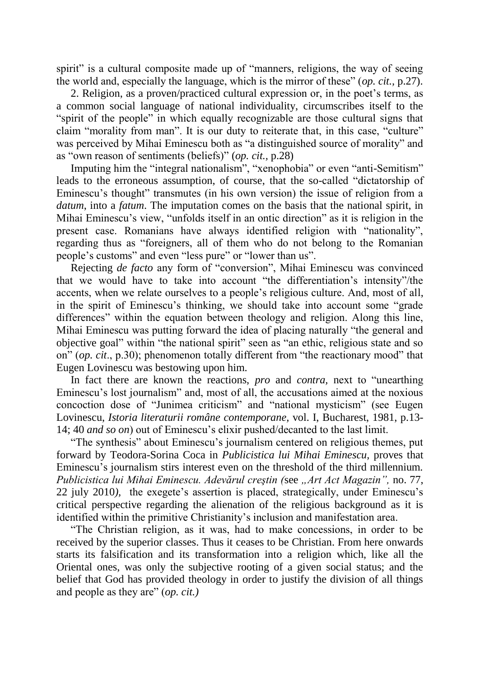spirit" is a cultural composite made up of "manners, religions, the way of seeing the world and, especially the language, which is the mirror of these" (*op. cit.,* p.27).

2. Religion, as a proven/practiced cultural expression or, in the poet's terms, as a common social language of national individuality, circumscribes itself to the "spirit of the people" in which equally recognizable are those cultural signs that claim "morality from man". It is our duty to reiterate that, in this case, "culture" was perceived by Mihai Eminescu both as "a distinguished source of morality" and as "own reason of sentiments (beliefs)" (*op. cit.,* p.28)

Imputing him the "integral nationalism", "xenophobia" or even "anti-Semitism" leads to the erroneous assumption, of course, that the so-called "dictatorship of Eminescu's thought" transmutes (in his own version) the issue of religion from a *datum*, into a *fatum*. The imputation comes on the basis that the national spirit, in Mihai Eminescu"s view, "unfolds itself in an ontic direction" as it is religion in the present case. Romanians have always identified religion with "nationality", regarding thus as "foreigners, all of them who do not belong to the Romanian people's customs" and even "less pure" or "lower than us".

Rejecting *de facto* any form of "conversion", Mihai Eminescu was convinced that we would have to take into account "the differentiation"s intensity"/the accents, when we relate ourselves to a people"s religious culture. And, most of all, in the spirit of Eminescu"s thinking, we should take into account some "grade differences" within the equation between theology and religion. Along this line, Mihai Eminescu was putting forward the idea of placing naturally "the general and objective goal" within "the national spirit" seen as "an ethic, religious state and so on" (*op. cit*., p.30); phenomenon totally different from "the reactionary mood" that Eugen Lovinescu was bestowing upon him.

In fact there are known the reactions, *pro* and *contra,* next to "unearthing Eminescu"s lost journalism" and, most of all, the accusations aimed at the noxious concoction dose of "Junimea criticism" and "national mysticism" (see Eugen Lovinescu, *Istoria literaturii române contemporane,* vol. I, Bucharest, 1981, p.13- 14; 40 *and so on*) out of Eminescu"s elixir pushed/decanted to the last limit.

"The synthesis" about Eminescu's journalism centered on religious themes, put forward by Teodora-Sorina Coca in *Publicistica lui Mihai Eminescu,* proves that Eminescu"s journalism stirs interest even on the threshold of the third millennium. *Publicistica lui Mihai Eminescu. Adevărul creştin (*see *"Art Act Magazin",* no. 77, 22 july 2010*),* the exegete"s assertion is placed, strategically, under Eminescu"s critical perspective regarding the alienation of the religious background as it is identified within the primitive Christianity"s inclusion and manifestation area.

"The Christian religion, as it was, had to make concessions, in order to be received by the superior classes. Thus it ceases to be Christian. From here onwards starts its falsification and its transformation into a religion which, like all the Oriental ones, was only the subjective rooting of a given social status; and the belief that God has provided theology in order to justify the division of all things and people as they are" (*op. cit.)*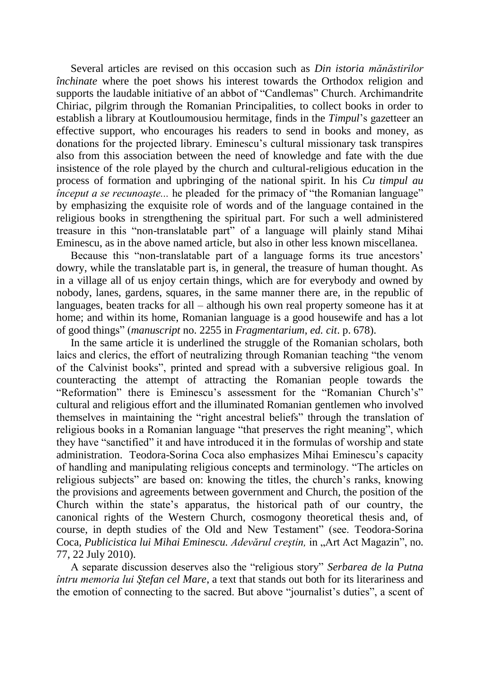Several articles are revised on this occasion such as *Din istoria mănăstirilor închinate* where the poet shows his interest towards the Orthodox religion and supports the laudable initiative of an abbot of "Candlemas" Church. Archimandrite Chiriac, pilgrim through the Romanian Principalities, to collect books in order to establish a library at Koutloumousiou hermitage, finds in the *Timpul*"s gazetteer an effective support, who encourages his readers to send in books and money, as donations for the projected library. Eminescu"s cultural missionary task transpires also from this association between the need of knowledge and fate with the due insistence of the role played by the church and cultural-religious education in the process of formation and upbringing of the national spirit. In his *Cu timpul au început a se recunoaste...* he pleaded for the primacy of "the Romanian language" by emphasizing the exquisite role of words and of the language contained in the religious books in strengthening the spiritual part. For such a well administered treasure in this "non-translatable part" of a language will plainly stand Mihai Eminescu, as in the above named article, but also in other less known miscellanea.

Because this "non-translatable part of a language forms its true ancestors" dowry, while the translatable part is, in general, the treasure of human thought. As in a village all of us enjoy certain things, which are for everybody and owned by nobody, lanes, gardens, squares, in the same manner there are, in the republic of languages, beaten tracks for all  $-$  although his own real property someone has it at home; and within its home, Romanian language is a good housewife and has a lot of good things" (*manuscript* no. 2255 in *Fragmentarium*, *ed. cit*. p. 678).

In the same article it is underlined the struggle of the Romanian scholars, both laics and clerics, the effort of neutralizing through Romanian teaching "the venom of the Calvinist books", printed and spread with a subversive religious goal. In counteracting the attempt of attracting the Romanian people towards the "Reformation" there is Eminescu"s assessment for the "Romanian Church"s" cultural and religious effort and the illuminated Romanian gentlemen who involved themselves in maintaining the "right ancestral beliefs" through the translation of religious books in a Romanian language "that preserves the right meaning", which they have "sanctified" it and have introduced it in the formulas of worship and state administration. Teodora-Sorina Coca also emphasizes Mihai Eminescu"s capacity of handling and manipulating religious concepts and terminology. "The articles on religious subjects" are based on: knowing the titles, the church"s ranks, knowing the provisions and agreements between government and Church, the position of the Church within the state"s apparatus, the historical path of our country, the canonical rights of the Western Church, cosmogony theoretical thesis and, of course, in depth studies of the Old and New Testament" (see. Teodora-Sorina Coca*, Publicistica lui Mihai Eminescu. Adevărul creştin,* in "Art Act Magazin", no. 77, 22 July 2010).

A separate discussion deserves also the "religious story" *Serbarea de la Putna întru memoria lui Ştefan cel Mare*, a text that stands out both for its literariness and the emotion of connecting to the sacred. But above "journalist's duties", a scent of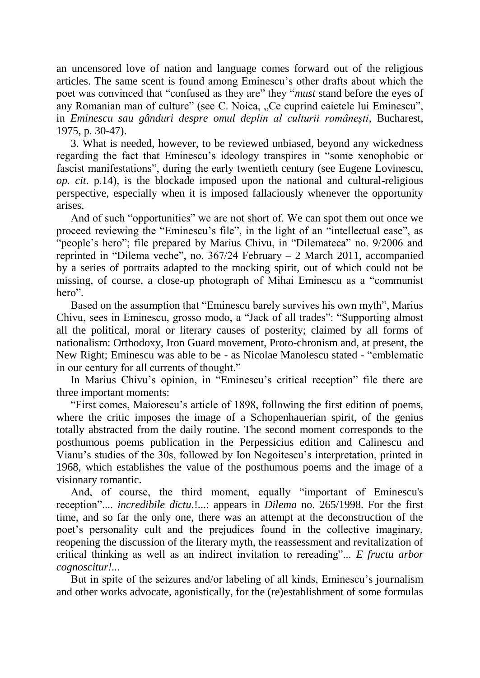an uncensored love of nation and language comes forward out of the religious articles. The same scent is found among Eminescu"s other drafts about which the poet was convinced that "confused as they are" they "*must* stand before the eyes of any Romanian man of culture" (see C. Noica, "Ce cuprind caietele lui Eminescu", in *Eminescu sau gânduri despre omul deplin al culturii româneşti*, Bucharest, 1975, p. 30-47).

3. What is needed, however, to be reviewed unbiased, beyond any wickedness regarding the fact that Eminescu"s ideology transpires in "some xenophobic or fascist manifestations", during the early twentieth century (see Eugene Lovinescu, *op. cit*. p.14), is the blockade imposed upon the national and cultural-religious perspective, especially when it is imposed fallaciously whenever the opportunity arises.

And of such "opportunities" we are not short of. We can spot them out once we proceed reviewing the "Eminescu"s file", in the light of an "intellectual ease", as "people's hero"; file prepared by Marius Chivu, in "Dilemateca" no. 9/2006 and reprinted in "Dilema veche", no.  $367/24$  February  $-2$  March 2011, accompanied by a series of portraits adapted to the mocking spirit, out of which could not be missing, of course, a close-up photograph of Mihai Eminescu as a "communist hero".

Based on the assumption that "Eminescu barely survives his own myth", Marius Chivu, sees in Eminescu, grosso modo, a "Jack of all trades": "Supporting almost all the political, moral or literary causes of posterity; claimed by all forms of nationalism: Orthodoxy, Iron Guard movement, Proto-chronism and, at present, the New Right; Eminescu was able to be - as Nicolae Manolescu stated - "emblematic in our century for all currents of thought."

In Marius Chivu's opinion, in "Eminescu's critical reception" file there are three important moments:

"First comes, Maiorescu"s article of 1898, following the first edition of poems, where the critic imposes the image of a Schopenhauerian spirit, of the genius totally abstracted from the daily routine. The second moment corresponds to the posthumous poems publication in the Perpessicius edition and Calinescu and Vianu"s studies of the 30s, followed by Ion Negoitescu"s interpretation, printed in 1968, which establishes the value of the posthumous poems and the image of a visionary romantic.

And, of course, the third moment, equally "important of Eminescu's reception".... *incredibile dictu*.!...: appears in *Dilema* no. 265/1998. For the first time, and so far the only one, there was an attempt at the deconstruction of the poet"s personality cult and the prejudices found in the collective imaginary, reopening the discussion of the literary myth, the reassessment and revitalization of critical thinking as well as an indirect invitation to rereading"... *E fructu arbor cognoscitur!...* 

But in spite of the seizures and/or labeling of all kinds, Eminescu"s journalism and other works advocate, agonistically, for the (re)establishment of some formulas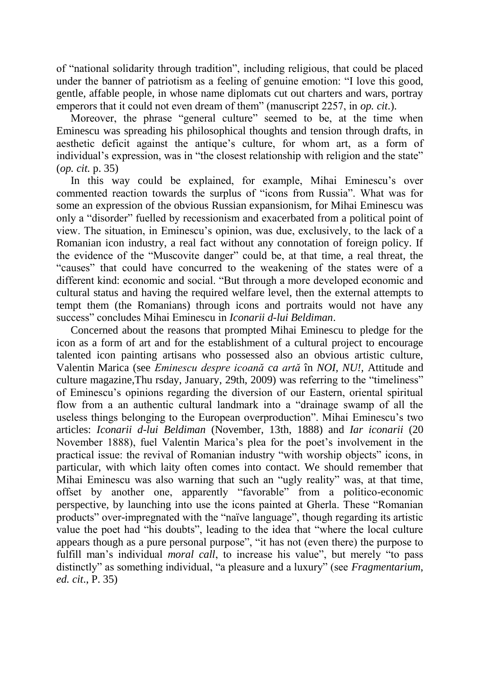of "national solidarity through tradition", including religious, that could be placed under the banner of patriotism as a feeling of genuine emotion: "I love this good, gentle, affable people, in whose name diplomats cut out charters and wars, portray emperors that it could not even dream of them" (manuscript 2257, in *op. cit*.).

Moreover, the phrase "general culture" seemed to be, at the time when Eminescu was spreading his philosophical thoughts and tension through drafts, in aesthetic deficit against the antique's culture, for whom art, as a form of individual"s expression, was in "the closest relationship with religion and the state" (*op. cit.* p. 35)

In this way could be explained, for example, Mihai Eminescu"s over commented reaction towards the surplus of "icons from Russia". What was for some an expression of the obvious Russian expansionism, for Mihai Eminescu was only a "disorder" fuelled by recessionism and exacerbated from a political point of view. The situation, in Eminescu"s opinion, was due, exclusively, to the lack of a Romanian icon industry, a real fact without any connotation of foreign policy. If the evidence of the "Muscovite danger" could be, at that time, a real threat, the "causes" that could have concurred to the weakening of the states were of a different kind: economic and social. "But through a more developed economic and cultural status and having the required welfare level, then the external attempts to tempt them (the Romanians) through icons and portraits would not have any success" concludes Mihai Eminescu in *Iconarii d-lui Beldiman*.

Concerned about the reasons that prompted Mihai Eminescu to pledge for the icon as a form of art and for the establishment of a cultural project to encourage talented icon painting artisans who possessed also an obvious artistic culture, Valentin Marica (see *Eminescu despre icoană ca artă* în *NOI, NU!,* Attitude and culture magazine,Thu rsday, January, 29th, 2009) was referring to the "timeliness" of Eminescu"s opinions regarding the diversion of our Eastern, oriental spiritual flow from a an authentic cultural landmark into a "drainage swamp of all the useless things belonging to the European overproduction". Mihai Eminescu"s two articles: *Iconarii d-lui Beldiman* (November, 13th, 1888) and *Iar iconarii* (20 November 1888), fuel Valentin Marica"s plea for the poet"s involvement in the practical issue: the revival of Romanian industry "with worship objects" icons, in particular, with which laity often comes into contact. We should remember that Mihai Eminescu was also warning that such an "ugly reality" was, at that time, offset by another one, apparently "favorable" from a politico-economic perspective, by launching into use the icons painted at Gherla. These "Romanian products" over-impregnated with the "naïve language", though regarding its artistic value the poet had "his doubts", leading to the idea that "where the local culture appears though as a pure personal purpose", "it has not (even there) the purpose to fulfill man's individual *moral call*, to increase his value", but merely "to pass distinctly" as something individual, "a pleasure and a luxury" (see *Fragmentarium*, *ed. cit*., P. 35)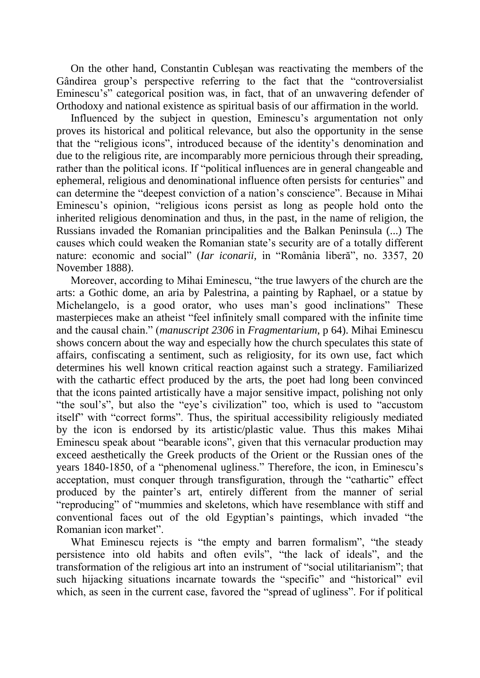On the other hand, Constantin Cubleşan was reactivating the members of the Gândirea group's perspective referring to the fact that the "controversialist" Eminescu's" categorical position was, in fact, that of an unwavering defender of Orthodoxy and national existence as spiritual basis of our affirmation in the world.

Influenced by the subject in question, Eminescu"s argumentation not only proves its historical and political relevance, but also the opportunity in the sense that the "religious icons", introduced because of the identity"s denomination and due to the religious rite, are incomparably more pernicious through their spreading, rather than the political icons. If "political influences are in general changeable and ephemeral, religious and denominational influence often persists for centuries" and can determine the "deepest conviction of a nation"s conscience". Because in Mihai Eminescu"s opinion, "religious icons persist as long as people hold onto the inherited religious denomination and thus, in the past, in the name of religion, the Russians invaded the Romanian principalities and the Balkan Peninsula (...) The causes which could weaken the Romanian state"s security are of a totally different nature: economic and social" (*Iar iconarii,* in "România liberă", no. 3357, 20 November 1888).

Moreover, according to Mihai Eminescu, "the true lawyers of the church are the arts: a Gothic dome, an aria by Palestrina, a painting by Raphael, or a statue by Michelangelo, is a good orator, who uses man"s good inclinations" These masterpieces make an atheist "feel infinitely small compared with the infinite time and the causal chain." (*manuscript 2306* in *Fragmentarium*, p 64). Mihai Eminescu shows concern about the way and especially how the church speculates this state of affairs, confiscating a sentiment, such as religiosity, for its own use, fact which determines his well known critical reaction against such a strategy. Familiarized with the cathartic effect produced by the arts, the poet had long been convinced that the icons painted artistically have a major sensitive impact, polishing not only "the soul"s", but also the "eye"s civilization" too, which is used to "accustom itself" with "correct forms". Thus, the spiritual accessibility religiously mediated by the icon is endorsed by its artistic/plastic value. Thus this makes Mihai Eminescu speak about "bearable icons", given that this vernacular production may exceed aesthetically the Greek products of the Orient or the Russian ones of the years 1840-1850, of a "phenomenal ugliness." Therefore, the icon, in Eminescu"s acceptation, must conquer through transfiguration, through the "cathartic" effect produced by the painter"s art, entirely different from the manner of serial "reproducing" of "mummies and skeletons, which have resemblance with stiff and conventional faces out of the old Egyptian"s paintings, which invaded "the Romanian icon market".

What Eminescu rejects is "the empty and barren formalism", "the steady persistence into old habits and often evils", "the lack of ideals", and the transformation of the religious art into an instrument of "social utilitarianism"; that such hijacking situations incarnate towards the "specific" and "historical" evil which, as seen in the current case, favored the "spread of ugliness". For if political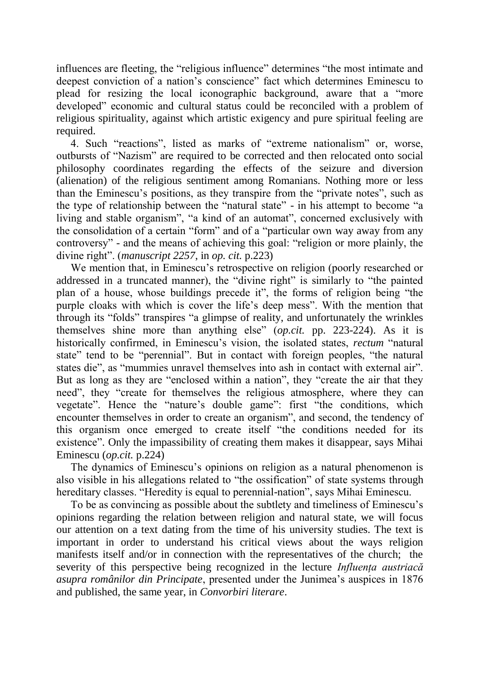influences are fleeting, the "religious influence" determines "the most intimate and deepest conviction of a nation"s conscience" fact which determines Eminescu to plead for resizing the local iconographic background, aware that a "more developed" economic and cultural status could be reconciled with a problem of religious spirituality, against which artistic exigency and pure spiritual feeling are required.

4. Such "reactions", listed as marks of "extreme nationalism" or, worse, outbursts of "Nazism" are required to be corrected and then relocated onto social philosophy coordinates regarding the effects of the seizure and diversion (alienation) of the religious sentiment among Romanians. Nothing more or less than the Eminescu"s positions, as they transpire from the "private notes", such as the type of relationship between the "natural state" - in his attempt to become "a living and stable organism", "a kind of an automat", concerned exclusively with the consolidation of a certain "form" and of a "particular own way away from any controversy" - and the means of achieving this goal: "religion or more plainly, the divine right". (*manuscript 2257*, in *op. cit.* p.223)

We mention that, in Eminescu's retrospective on religion (poorly researched or addressed in a truncated manner), the "divine right" is similarly to "the painted plan of a house, whose buildings precede it", the forms of religion being "the purple cloaks with which is cover the life"s deep mess". With the mention that through its "folds" transpires "a glimpse of reality, and unfortunately the wrinkles themselves shine more than anything else" (*op.cit.* pp. 223-224). As it is historically confirmed, in Eminescu"s vision, the isolated states, *rectum* "natural state" tend to be "perennial". But in contact with foreign peoples, "the natural states die", as "mummies unravel themselves into ash in contact with external air". But as long as they are "enclosed within a nation", they "create the air that they need", they "create for themselves the religious atmosphere, where they can vegetate". Hence the "nature"s double game": first "the conditions, which encounter themselves in order to create an organism", and second, the tendency of this organism once emerged to create itself "the conditions needed for its existence". Only the impassibility of creating them makes it disappear, says Mihai Eminescu (*op.cit.* p.224)

The dynamics of Eminescu"s opinions on religion as a natural phenomenon is also visible in his allegations related to "the ossification" of state systems through hereditary classes. "Heredity is equal to perennial-nation", says Mihai Eminescu.

To be as convincing as possible about the subtlety and timeliness of Eminescu"s opinions regarding the relation between religion and natural state, we will focus our attention on a text dating from the time of his university studies. The text is important in order to understand his critical views about the ways religion manifests itself and/or in connection with the representatives of the church; the severity of this perspective being recognized in the lecture *Influenţa austriacă asupra românilor din Principate*, presented under the Junimea"s auspices in 1876 and published, the same year, in *Convorbiri literare*.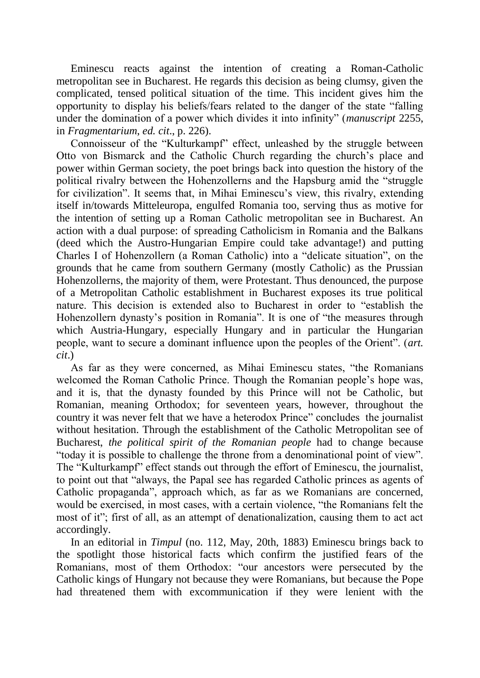Eminescu reacts against the intention of creating a Roman-Catholic metropolitan see in Bucharest. He regards this decision as being clumsy, given the complicated, tensed political situation of the time. This incident gives him the opportunity to display his beliefs/fears related to the danger of the state "falling under the domination of a power which divides it into infinity" (*manuscript* 2255, in *Fragmentarium*, *ed. cit*., p. 226).

Connoisseur of the "Kulturkampf" effect, unleashed by the struggle between Otto von Bismarck and the Catholic Church regarding the church"s place and power within German society, the poet brings back into question the history of the political rivalry between the Hohenzollerns and the Hapsburg amid the "struggle for civilization". It seems that, in Mihai Eminescu's view, this rivalry, extending itself in/towards Mitteleuropa, engulfed Romania too, serving thus as motive for the intention of setting up a Roman Catholic metropolitan see in Bucharest. An action with a dual purpose: of spreading Catholicism in Romania and the Balkans (deed which the Austro-Hungarian Empire could take advantage!) and putting Charles I of Hohenzollern (a Roman Catholic) into a "delicate situation", on the grounds that he came from southern Germany (mostly Catholic) as the Prussian Hohenzollerns, the majority of them, were Protestant. Thus denounced, the purpose of a Metropolitan Catholic establishment in Bucharest exposes its true political nature. This decision is extended also to Bucharest in order to "establish the Hohenzollern dynasty"s position in Romania". It is one of "the measures through which Austria-Hungary, especially Hungary and in particular the Hungarian people, want to secure a dominant influence upon the peoples of the Orient". (*art. cit*.)

As far as they were concerned, as Mihai Eminescu states, "the Romanians welcomed the Roman Catholic Prince. Though the Romanian people's hope was, and it is, that the dynasty founded by this Prince will not be Catholic, but Romanian, meaning Orthodox; for seventeen years, however, throughout the country it was never felt that we have a heterodox Prince" concludes the journalist without hesitation. Through the establishment of the Catholic Metropolitan see of Bucharest, *the political spirit of the Romanian people* had to change because "today it is possible to challenge the throne from a denominational point of view". The "Kulturkampf" effect stands out through the effort of Eminescu, the journalist, to point out that "always, the Papal see has regarded Catholic princes as agents of Catholic propaganda", approach which, as far as we Romanians are concerned, would be exercised, in most cases, with a certain violence, "the Romanians felt the most of it"; first of all, as an attempt of denationalization, causing them to act act accordingly.

In an editorial in *Timpul* (no. 112, May, 20th, 1883) Eminescu brings back to the spotlight those historical facts which confirm the justified fears of the Romanians, most of them Orthodox: "our ancestors were persecuted by the Catholic kings of Hungary not because they were Romanians, but because the Pope had threatened them with excommunication if they were lenient with the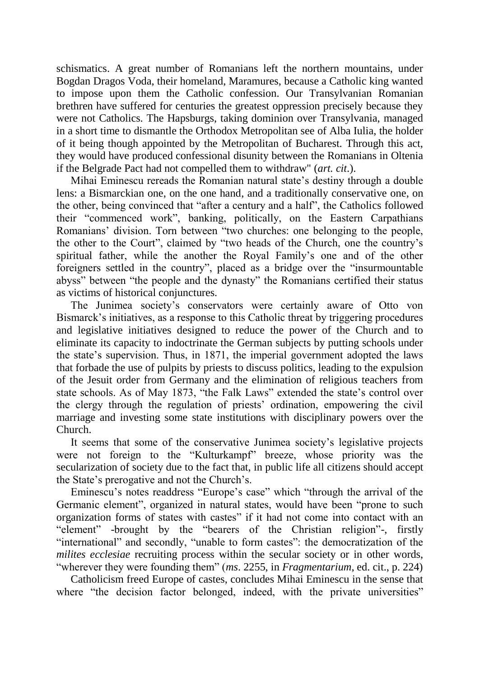schismatics. A great number of Romanians left the northern mountains, under Bogdan Dragos Voda, their homeland, Maramures, because a Catholic king wanted to impose upon them the Catholic confession. Our Transylvanian Romanian brethren have suffered for centuries the greatest oppression precisely because they were not Catholics. The Hapsburgs, taking dominion over Transylvania, managed in a short time to dismantle the Orthodox Metropolitan see of Alba Iulia, the holder of it being though appointed by the Metropolitan of Bucharest. Through this act, they would have produced confessional disunity between the Romanians in Oltenia if the Belgrade Pact had not compelled them to withdraw" (*art. cit*.).

Mihai Eminescu rereads the Romanian natural state"s destiny through a double lens: a Bismarckian one, on the one hand, and a traditionally conservative one, on the other, being convinced that "after a century and a half", the Catholics followed their "commenced work", banking, politically, on the Eastern Carpathians Romanians' division. Torn between "two churches: one belonging to the people, the other to the Court", claimed by "two heads of the Church, one the country"s spiritual father, while the another the Royal Family"s one and of the other foreigners settled in the country", placed as a bridge over the "insurmountable abyss" between "the people and the dynasty" the Romanians certified their status as victims of historical conjunctures.

The Junimea society's conservators were certainly aware of Otto von Bismarck's initiatives, as a response to this Catholic threat by triggering procedures and legislative initiatives designed to reduce the power of the Church and to eliminate its capacity to indoctrinate the German subjects by putting schools under the state"s supervision. Thus, in 1871, the imperial government adopted the laws that forbade the use of pulpits by priests to discuss politics, leading to the expulsion of the Jesuit order from Germany and the elimination of religious teachers from state schools. As of May 1873, "the Falk Laws" extended the state's control over the clergy through the regulation of priests" ordination, empowering the civil marriage and investing some state institutions with disciplinary powers over the Church.

It seems that some of the conservative Junimea society"s legislative projects were not foreign to the "Kulturkampf" breeze, whose priority was the secularization of society due to the fact that, in public life all citizens should accept the State"s prerogative and not the Church"s.

Eminescu's notes readdress "Europe's case" which "through the arrival of the Germanic element", organized in natural states, would have been "prone to such organization forms of states with castes" if it had not come into contact with an "element" -brought by the "bearers of the Christian religion"-, firstly "international" and secondly, "unable to form castes": the democratization of the *milites ecclesiae* recruiting process within the secular society or in other words, "wherever they were founding them" (*ms*. 2255, in *Fragmentarium*, ed. cit., p. 224)

Catholicism freed Europe of castes, concludes Mihai Eminescu in the sense that where "the decision factor belonged, indeed, with the private universities"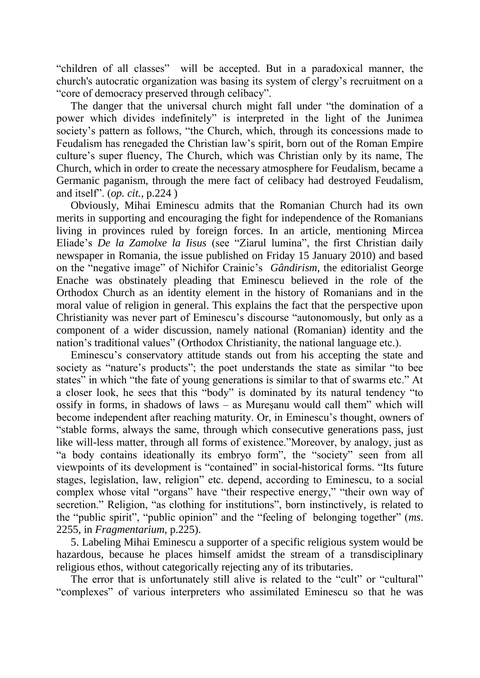"children of all classes" will be accepted. But in a paradoxical manner, the church's autocratic organization was basing its system of clergy"s recruitment on a "core of democracy preserved through celibacy".

The danger that the universal church might fall under "the domination of a power which divides indefinitely" is interpreted in the light of the Junimea society's pattern as follows, "the Church, which, through its concessions made to Feudalism has renegaded the Christian law"s spirit, born out of the Roman Empire culture"s super fluency, The Church, which was Christian only by its name, The Church, which in order to create the necessary atmosphere for Feudalism, became a Germanic paganism, through the mere fact of celibacy had destroyed Feudalism, and itself". (*op. cit.*, p.224 )

Obviously, Mihai Eminescu admits that the Romanian Church had its own merits in supporting and encouraging the fight for independence of the Romanians living in provinces ruled by foreign forces. In an article, mentioning Mircea Eliade"s *De la Zamolxe la Iisus* (see "Ziarul lumina", the first Christian daily newspaper in Romania, the issue published on Friday 15 January 2010) and based on the "negative image" of Nichifor Crainic"s *Gândirism*, the editorialist George Enache was obstinately pleading that Eminescu believed in the role of the Orthodox Church as an identity element in the history of Romanians and in the moral value of religion in general. This explains the fact that the perspective upon Christianity was never part of Eminescu"s discourse "autonomously, but only as a component of a wider discussion, namely national (Romanian) identity and the nation"s traditional values" (Orthodox Christianity, the national language etc.).

Eminescu"s conservatory attitude stands out from his accepting the state and society as "nature's products"; the poet understands the state as similar "to bee states" in which "the fate of young generations is similar to that of swarms etc." At a closer look, he sees that this "body" is dominated by its natural tendency "to ossify in forms, in shadows of laws  $-$  as Muresanu would call them" which will become independent after reaching maturity. Or, in Eminescu"s thought, owners of "stable forms, always the same, through which consecutive generations pass, just like will-less matter, through all forms of existence."Moreover, by analogy, just as "a body contains ideationally its embryo form", the "society" seen from all viewpoints of its development is "contained" in social-historical forms. "Its future stages, legislation, law, religion" etc. depend, according to Eminescu, to a social complex whose vital "organs" have "their respective energy," "their own way of secretion." Religion, "as clothing for institutions", born instinctively, is related to the "public spirit", "public opinion" and the "feeling of belonging together" (*ms*. 2255, in *Fragmentarium*, p.225).

5. Labeling Mihai Eminescu a supporter of a specific religious system would be hazardous, because he places himself amidst the stream of a transdisciplinary religious ethos, without categorically rejecting any of its tributaries.

The error that is unfortunately still alive is related to the "cult" or "cultural" "complexes" of various interpreters who assimilated Eminescu so that he was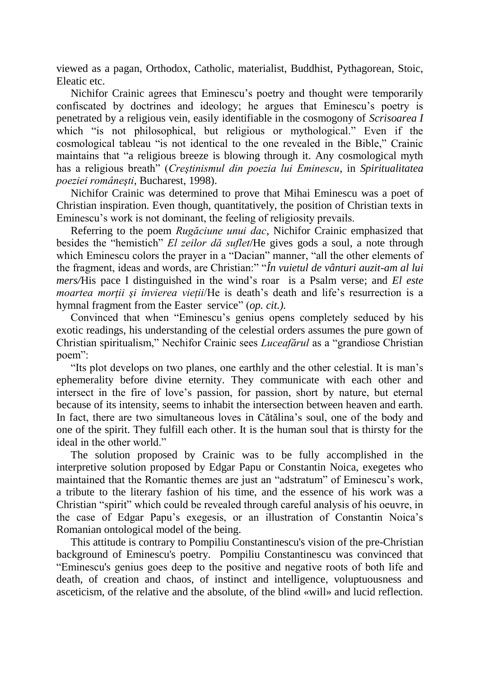viewed as a pagan, Orthodox, Catholic, materialist, Buddhist, Pythagorean, Stoic, Eleatic etc.

Nichifor Crainic agrees that Eminescu"s poetry and thought were temporarily confiscated by doctrines and ideology; he argues that Eminescu"s poetry is penetrated by a religious vein, easily identifiable in the cosmogony of *Scrisoarea I* which "is not philosophical, but religious or mythological." Even if the cosmological tableau "is not identical to the one revealed in the Bible," Crainic maintains that "a religious breeze is blowing through it. Any cosmological myth has a religious breath" (*Creştinismul din poezia lui Eminescu*, in *Spiritualitatea poeziei româneşti*, Bucharest, 1998).

Nichifor Crainic was determined to prove that Mihai Eminescu was a poet of Christian inspiration. Even though, quantitatively, the position of Christian texts in Eminescu"s work is not dominant, the feeling of religiosity prevails.

Referring to the poem *Rugăciune unui dac*, Nichifor Crainic emphasized that besides the "hemistich" *El zeilor dă suflet*/He gives gods a soul, a note through which Eminescu colors the prayer in a "Dacian" manner, "all the other elements of the fragment, ideas and words, are Christian:" "*În vuietul de vânturi auzit-am al lui mers/*His pace I distinguished in the wind"s roar is a Psalm verse; and *El este moartea mortii si învierea vietii*/He is death's death and life's resurrection is a hymnal fragment from the Easter service" (*op. cit.).*

Convinced that when "Eminescu"s genius opens completely seduced by his exotic readings, his understanding of the celestial orders assumes the pure gown of Christian spiritualism," Nechifor Crainic sees *Luceafărul* as a "grandiose Christian poem":

"Its plot develops on two planes, one earthly and the other celestial. It is man"s ephemerality before divine eternity. They communicate with each other and intersect in the fire of love"s passion, for passion, short by nature, but eternal because of its intensity, seems to inhabit the intersection between heaven and earth. In fact, there are two simultaneous loves in Cătălina"s soul, one of the body and one of the spirit. They fulfill each other. It is the human soul that is thirsty for the ideal in the other world."

The solution proposed by Crainic was to be fully accomplished in the interpretive solution proposed by Edgar Papu or Constantin Noica, exegetes who maintained that the Romantic themes are just an "adstratum" of Eminescu's work, a tribute to the literary fashion of his time, and the essence of his work was a Christian "spirit" which could be revealed through careful analysis of his oeuvre, in the case of Edgar Papu"s exegesis, or an illustration of Constantin Noica"s Romanian ontological model of the being.

This attitude is contrary to Pompiliu Constantinescu's vision of the pre-Christian background of Eminescu's poetry. Pompiliu Constantinescu was convinced that "Eminescu's genius goes deep to the positive and negative roots of both life and death, of creation and chaos, of instinct and intelligence, voluptuousness and asceticism, of the relative and the absolute, of the blind «will» and lucid reflection.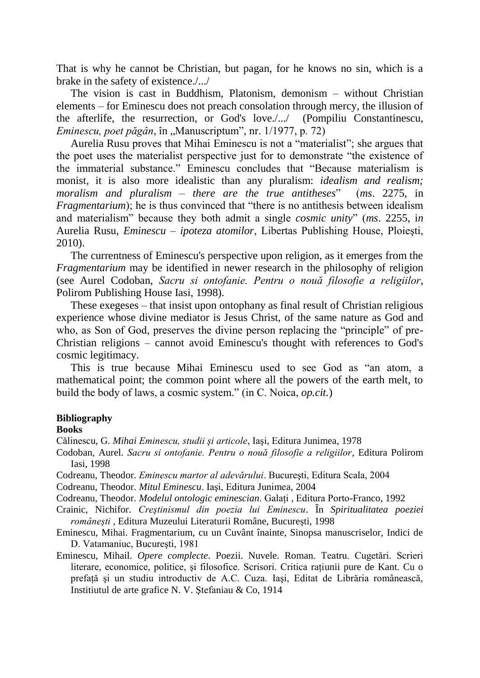That is why he cannot be Christian, but pagan, for he knows no sin, which is a brake in the safety of existence./.../

The vision is cast in Buddhism, Platonism, demonism  $-$  without Christian elements – for Eminescu does not preach consolation through mercy, the illusion of the afterlife, the resurrection, or God's love./.../ (Pompiliu Constantinescu, *Eminescu, poet păgân*, în "Manuscriptum", nr. 1/1977, p. 72)

Aurelia Rusu proves that Mihai Eminescu is not a "materialist"; she argues that the poet uses the materialist perspective just for to demonstrate "the existence of the immaterial substance." Eminescu concludes that "Because materialism is monist, it is also more idealistic than any pluralism: *idealism and realism; moralism and pluralism – there are the true antitheses*" (*ms*. 2275, in *Fragmentarium*); he is thus convinced that "there is no antithesis between idealism and materialism" because they both admit a single *cosmic unity*" (*ms*. 2255, i*n*  Aurelia Rusu, *Eminescu – ipoteza atomilor*, Libertas Publishing House, Ploieşti, 2010).

The currentness of Eminescu's perspective upon religion, as it emerges from the *Fragmentarium* may be identified in newer research in the philosophy of religion (see Aurel Codoban, *Sacru si ontofanie. Pentru o nouă filosofie a religiilor*, Polirom Publishing House Iasi, 1998).

These exegeses – that insist upon ontophany as final result of Christian religious experience whose divine mediator is Jesus Christ, of the same nature as God and who, as Son of God, preserves the divine person replacing the "principle" of pre-Christian religions – cannot avoid Eminescu's thought with references to God's cosmic legitimacy.

This is true because Mihai Eminescu used to see God as "an atom, a mathematical point; the common point where all the powers of the earth melt, to build the body of laws, a cosmic system." (in C. Noica, *op.cit.*)

## **Bibliography**

## **Books**

Călinescu, G. *Mihai Eminescu, studii şi articole*, Iaşi, Editura Junimea, 1978

Codoban, Aurel. *Sacru si ontofanie. Pentru o nouă filosofie a religiilor*, Editura Polirom Iasi, 1998

Codreanu, Theodor. *Eminescu martor al adevărului*. Bucureşti, Editura Scala, 2004

Codreanu, Theodor. *Mitul Eminescu*. Iaşi, Editura Junimea, 2004

Codreanu, Theodor. *Modelul ontologic eminescian*. Galaţi , Editura Porto-Franco, 1992

Crainic, Nichifor. *Creştinismul din poezia lui Eminescu*. În *Spiritualitatea poeziei româneşti* , Editura Muzeului Literaturii Române, Bucureşti, 1998

Eminescu, Mihai. Fragmentarium, cu un Cuvânt înainte, Sinopsa manuscriselor, Indici de D. Vatamaniuc, Bucureşti, 1981

Eminescu, Mihail. *Opere complecte*. Poezii. Nuvele. Roman. Teatru. Cugetări. Scrieri literare, economice, politice, și filosofice. Scrisori. Critica rațiunii pure de Kant. Cu o prefaţă şi un studiu introductiv de A.C. Cuza. Iaşi, Editat de Librăria românească, Institiutul de arte grafice N. V. Ştefaniau & Co, 1914